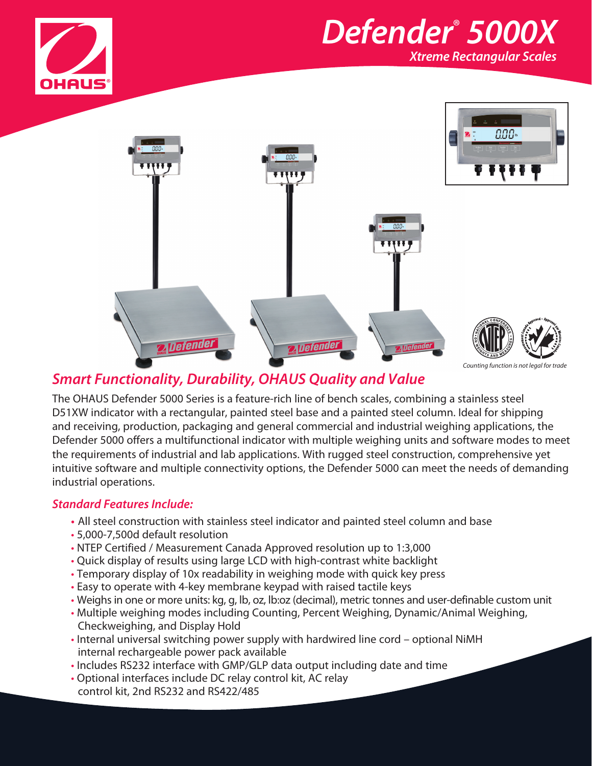





## *Smart Functionality, Durability, OHAUS Quality and Value*

The OHAUS Defender 5000 Series is a feature-rich line of bench scales, combining a stainless steel D51XW indicator with a rectangular, painted steel base and a painted steel column. Ideal for shipping and receiving, production, packaging and general commercial and industrial weighing applications, the Defender 5000 offers a multifunctional indicator with multiple weighing units and software modes to meet the requirements of industrial and lab applications. With rugged steel construction, comprehensive yet intuitive software and multiple connectivity options, the Defender 5000 can meet the needs of demanding industrial operations.

### *Standard Features Include:*

- **•** All steel construction with stainless steel indicator and painted steel column and base
- 5,000-7,500d default resolution
- NTEP Certified / Measurement Canada Approved resolution up to 1:3,000
- Quick display of results using large LCD with high-contrast white backlight
- Temporary display of 10x readability in weighing mode with quick key press
- Easy to operate with 4-key membrane keypad with raised tactile keys
- Weighs in one or more units: kg, g, lb, oz, lb:oz (decimal), metric tonnes and user-definable custom unit
- Multiple weighing modes including Counting, Percent Weighing, Dynamic/Animal Weighing, Checkweighing, and Display Hold
- Internal universal switching power supply with hardwired line cord optional NiMH internal rechargeable power pack available
- Includes RS232 interface with GMP/GLP data output including date and time
- Optional interfaces include DC relay control kit, AC relay control kit, 2nd RS232 and RS422/485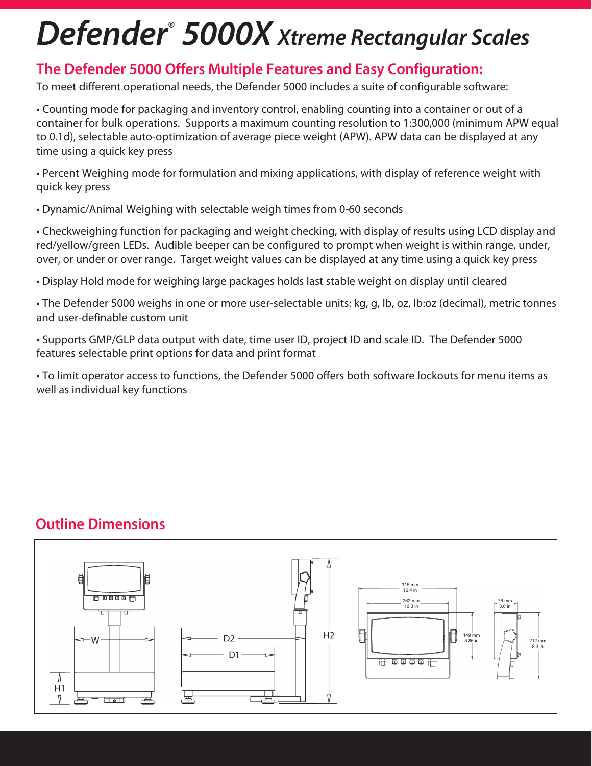# *Defender*®  *5000X Xtreme Rectangular Scales*

## **The Defender 5000 Offers Multiple Features and Easy Configuration:**

To meet different operational needs, the Defender 5000 includes a suite of configurable software:

• Counting mode for packaging and inventory control, enabling counting into a container or out of a container for bulk operations. Supports a maximum counting resolution to 1:300,000 (minimum APW equal to 0.1d), selectable auto-optimization of average piece weight (APW). APW data can be displayed at any time using a quick key press

• Percent Weighing mode for formulation and mixing applications, with display of reference weight with quick key press

• Dynamic/Animal Weighing with selectable weigh times from 0-60 seconds

• Checkweighing function for packaging and weight checking, with display of results using LCD display and red/yellow/green LEDs. Audible beeper can be configured to prompt when weight is within range, under, over, or under or over range. Target weight values can be displayed at any time using a quick key press

• Display Hold mode for weighing large packages holds last stable weight on display until cleared

• The Defender 5000 weighs in one or more user-selectable units: kg, g, lb, oz, lb:oz (decimal), metric tonnes and user-definable custom unit

• Supports GMP/GLP data output with date, time user ID, project ID and scale ID. The Defender 5000 features selectable print options for data and print format

• To limit operator access to functions, the Defender 5000 offers both software lockouts for menu items as well as individual key functions

# **Outline Dimensions**

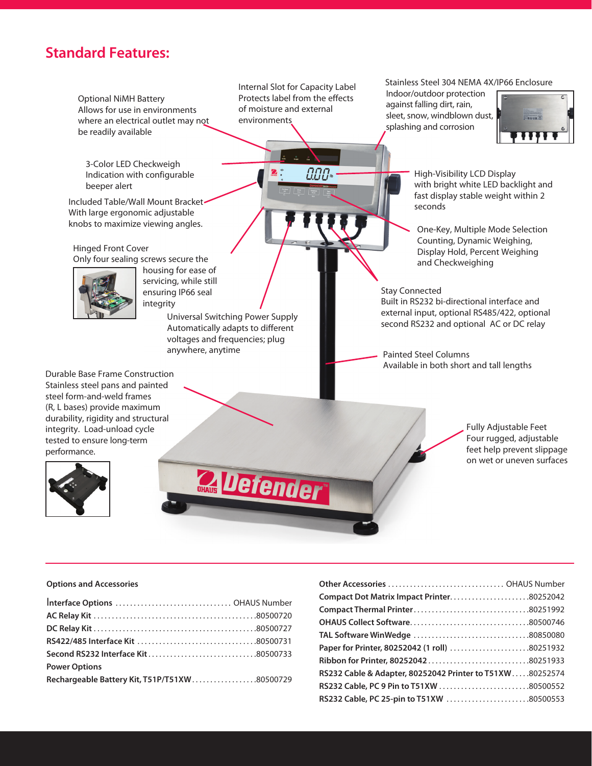## **Standard Features:**



#### **Options and Accessories**

| <b>Power Options</b>                         |  |
|----------------------------------------------|--|
| Rechargeable Battery Kit, T51P/T51XW80500729 |  |

| Compact Dot Matrix Impact Printer80252042                |
|----------------------------------------------------------|
|                                                          |
|                                                          |
|                                                          |
| Paper for Printer, 80252042 (1 roll) 80251932            |
|                                                          |
| RS232 Cable & Adapter, 80252042 Printer to T51XW80252574 |
| RS232 Cable, PC 9 Pin to T51XW 80500552                  |
| RS232 Cable, PC 25-pin to T51XW 80500553                 |
|                                                          |